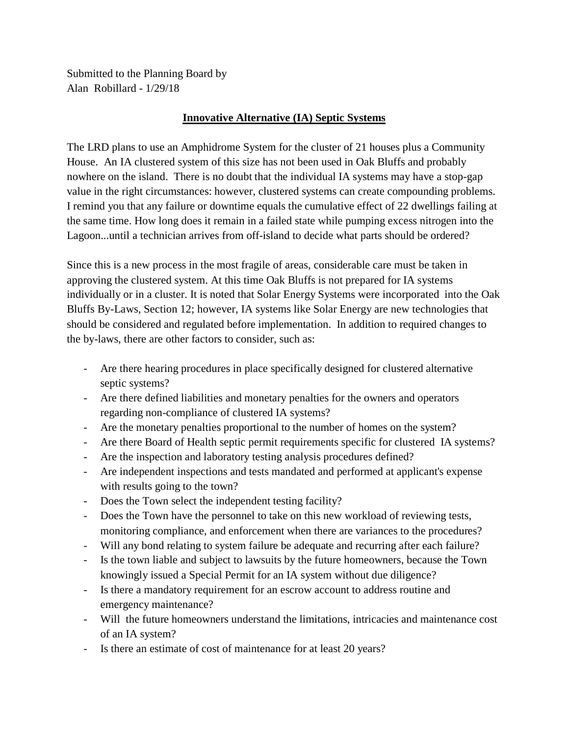Submitted to the Planning Board by Alan Robillard - 1/29/18

## **Innovative Alternative (IA) Septic Systems**

The LRD plans to use an Amphidrome System for the cluster of 21 houses plus a Community House. An IA clustered system of this size has not been used in Oak Bluffs and probably nowhere on the island. There is no doubt that the individual IA systems may have a stop-gap value in the right circumstances: however, clustered systems can create compounding problems. I remind you that any failure or downtime equals the cumulative effect of 22 dwellings failing at the same time. How long does it remain in a failed state while pumping excess nitrogen into the Lagoon...until a technician arrives from off-island to decide what parts should be ordered?

Since this is a new process in the most fragile of areas, considerable care must be taken in approving the clustered system. At this time Oak Bluffs is not prepared for IA systems individually or in a cluster. It is noted that Solar Energy Systems were incorporated into the Oak Bluffs By-Laws, Section 12; however, IA systems like Solar Energy are new technologies that should be considered and regulated before implementation. In addition to required changes to the by-laws, there are other factors to consider, such as:

- Are there hearing procedures in place specifically designed for clustered alternative septic systems?
- Are there defined liabilities and monetary penalties for the owners and operators regarding non-compliance of clustered IA systems?
- Are the monetary penalties proportional to the number of homes on the system?
- Are there Board of Health septic permit requirements specific for clustered IA systems?
- Are the inspection and laboratory testing analysis procedures defined?
- Are independent inspections and tests mandated and performed at applicant's expense with results going to the town?
- Does the Town select the independent testing facility?
- Does the Town have the personnel to take on this new workload of reviewing tests, monitoring compliance, and enforcement when there are variances to the procedures?
- Will any bond relating to system failure be adequate and recurring after each failure?
- Is the town liable and subject to lawsuits by the future homeowners, because the Town knowingly issued a Special Permit for an IA system without due diligence?
- Is there a mandatory requirement for an escrow account to address routine and emergency maintenance?
- Will the future homeowners understand the limitations, intricacies and maintenance cost of an IA system?
- Is there an estimate of cost of maintenance for at least 20 years?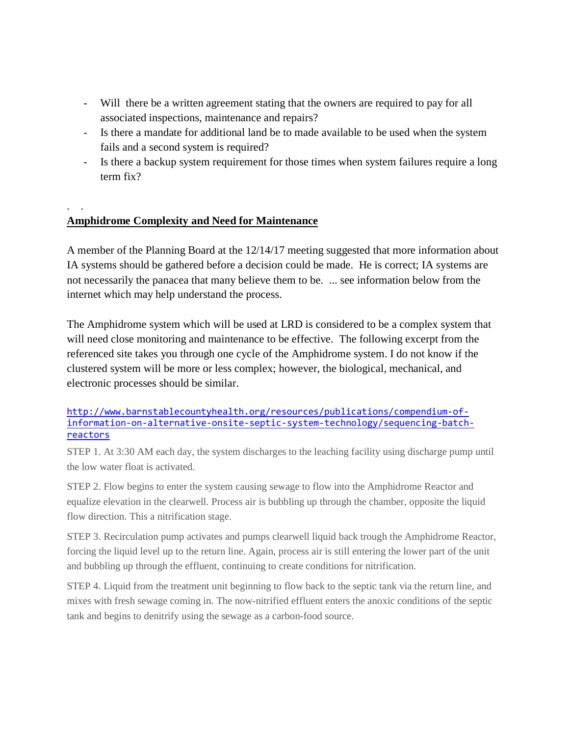- Will there be a written agreement stating that the owners are required to pay for all associated inspections, maintenance and repairs?
- Is there a mandate for additional land be to made available to be used when the system fails and a second system is required?
- Is there a backup system requirement for those times when system failures require a long term fix?

# **Amphidrome Complexity and Need for Maintenance**

. .

A member of the Planning Board at the 12/14/17 meeting suggested that more information about IA systems should be gathered before a decision could be made. He is correct; IA systems are not necessarily the panacea that many believe them to be. ... see information below from the internet which may help understand the process.

The Amphidrome system which will be used at LRD is considered to be a complex system that will need close monitoring and maintenance to be effective. The following excerpt from the referenced site takes you through one cycle of the Amphidrome system. I do not know if the clustered system will be more or less complex; however, the biological, mechanical, and electronic processes should be similar.

[http://www.barnstablecountyhealth.org/resources/publications/compendium-of](http://www.barnstablecountyhealth.org/resources/publications/compendium-of-information-on-alternative-onsite-septic-system-technology/sequencing-batch-reactors)[information-on-alternative-onsite-septic-system-technology/sequencing-batch](http://www.barnstablecountyhealth.org/resources/publications/compendium-of-information-on-alternative-onsite-septic-system-technology/sequencing-batch-reactors)[reactors](http://www.barnstablecountyhealth.org/resources/publications/compendium-of-information-on-alternative-onsite-septic-system-technology/sequencing-batch-reactors)

STEP 1. At 3:30 AM each day, the system discharges to the leaching facility using discharge pump until the low water float is activated.

STEP 2. Flow begins to enter the system causing sewage to flow into the Amphidrome Reactor and equalize elevation in the clearwell. Process air is bubbling up through the chamber, opposite the liquid flow direction. This a nitrification stage.

STEP 3. Recirculation pump activates and pumps clearwell liquid back trough the Amphidrome Reactor, forcing the liquid level up to the return line. Again, process air is still entering the lower part of the unit and bubbling up through the effluent, continuing to create conditions for nitrification.

STEP 4. Liquid from the treatment unit beginning to flow back to the septic tank via the return line, and mixes with fresh sewage coming in. The now-nitrified effluent enters the anoxic conditions of the septic tank and begins to denitrify using the sewage as a carbon-food source.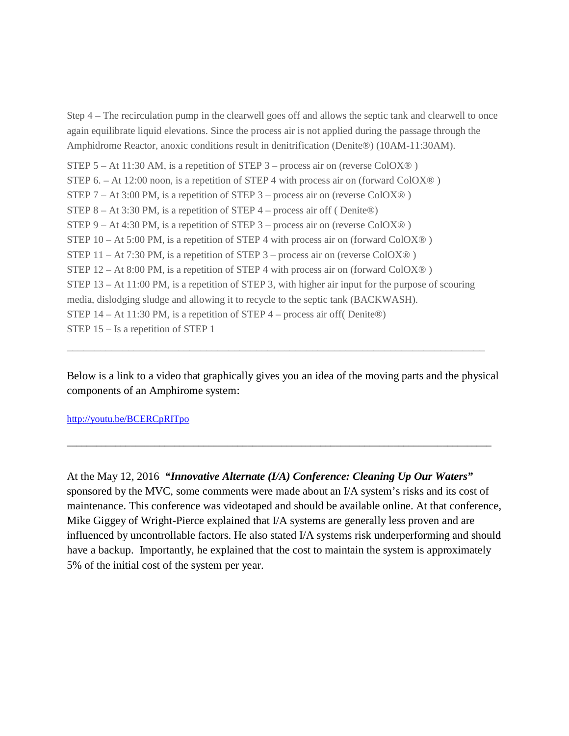Step 4 – The recirculation pump in the clearwell goes off and allows the septic tank and clearwell to once again equilibrate liquid elevations. Since the process air is not applied during the passage through the Amphidrome Reactor, anoxic conditions result in denitrification (Denite®) (10AM-11:30AM).

STEP  $5 - At 11:30 AM$ , is a repetition of STEP  $3 -$  process air on (reverse ColOX<sup>®</sup>) STEP 6. – At 12:00 noon, is a repetition of STEP 4 with process air on (forward ColOX®) STEP 7 – At 3:00 PM, is a repetition of STEP 3 – process air on (reverse ColOX $\circledR$ ) STEP  $8 - At 3:30$  PM, is a repetition of STEP  $4 -$  process air off (Denite®) STEP 9 – At 4:30 PM, is a repetition of STEP 3 – process air on (reverse ColOX® ) STEP 10 – At 5:00 PM, is a repetition of STEP 4 with process air on (forward ColOX® ) STEP 11 – At 7:30 PM, is a repetition of STEP 3 – process air on (reverse ColOX®) STEP  $12 - At 8:00 PM$ , is a repetition of STEP 4 with process air on (forward ColOX®) STEP 13 – At 11:00 PM, is a repetition of STEP 3, with higher air input for the purpose of scouring media, dislodging sludge and allowing it to recycle to the septic tank (BACKWASH). STEP 14 – At 11:30 PM, is a repetition of STEP 4 – process air off( Denite®) STEP 15 – Is a repetition of STEP 1

Below is a link to a video that graphically gives you an idea of the moving parts and the physical components of an Amphirome system:

\_\_\_\_\_\_\_\_\_\_\_\_\_\_\_\_\_\_\_\_\_\_\_\_\_\_\_\_\_\_\_\_\_\_\_\_\_\_\_\_\_\_\_\_\_\_\_\_\_\_\_\_\_\_\_\_\_\_\_\_\_\_\_\_\_\_\_\_\_\_\_\_\_\_\_\_\_\_\_\_\_\_\_\_\_\_\_

\_\_\_\_\_\_\_\_\_\_\_\_\_\_\_\_\_\_\_\_\_\_\_\_\_\_\_\_\_\_\_\_\_\_\_\_\_\_\_\_\_\_\_\_\_\_\_\_\_\_\_\_\_\_\_\_\_\_\_\_\_\_\_\_\_\_\_\_\_\_\_\_\_\_\_

#### <http://youtu.be/BCERCpRITpo>

At the May 12, 2016 *"Innovative Alternate (I/A) Conference: Cleaning Up Our Waters"* sponsored by the MVC, some comments were made about an I/A system's risks and its cost of maintenance. This conference was videotaped and should be available online. At that conference, Mike Giggey of Wright-Pierce explained that I/A systems are generally less proven and are influenced by uncontrollable factors. He also stated I/A systems risk underperforming and should have a backup. Importantly, he explained that the cost to maintain the system is approximately 5% of the initial cost of the system per year.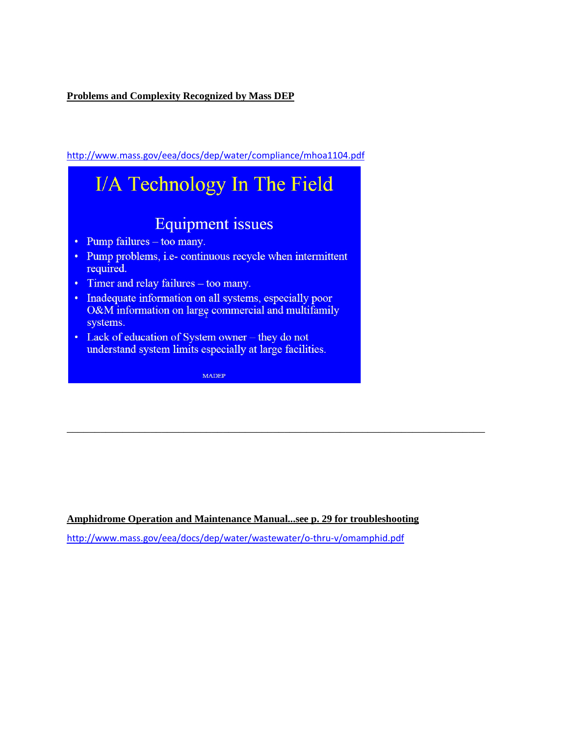**Problems and Complexity Recognized by Mass DEP**

<http://www.mass.gov/eea/docs/dep/water/compliance/mhoa1104.pdf>



**Amphidrome Operation and Maintenance Manual...see p. 29 for troubleshooting**

\_\_\_\_\_\_\_\_\_\_\_\_\_\_\_\_\_\_\_\_\_\_\_\_\_\_\_\_\_\_\_\_\_\_\_\_\_\_\_\_\_\_\_\_\_\_\_\_\_\_\_\_\_\_\_\_\_\_\_\_\_\_\_\_\_\_\_\_\_\_\_\_\_\_\_

<http://www.mass.gov/eea/docs/dep/water/wastewater/o-thru-v/omamphid.pdf>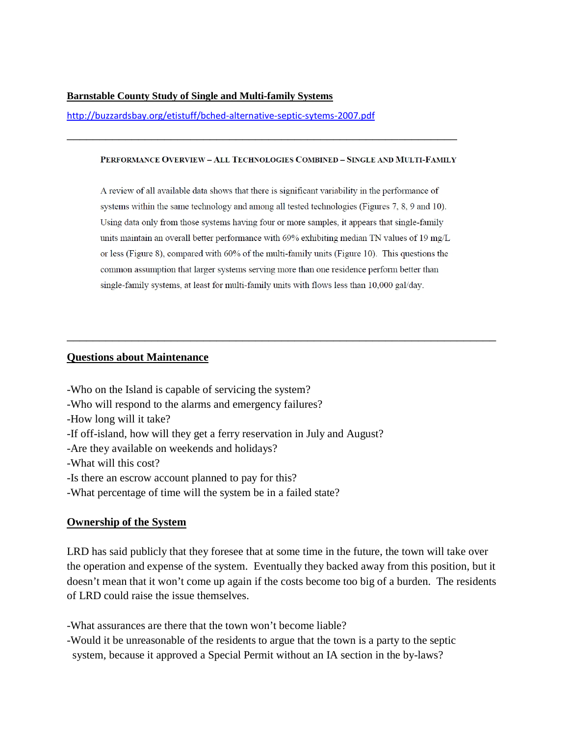### **Barnstable County Study of Single and Multi-family Systems**

<http://buzzardsbay.org/etistuff/bched-alternative-septic-sytems-2007.pdf>

#### PERFORMANCE OVERVIEW - ALL TECHNOLOGIES COMBINED - SINGLE AND MULTI-FAMILY

\_\_\_\_\_\_\_\_\_\_\_\_\_\_\_\_\_\_\_\_\_\_\_\_\_\_\_\_\_\_\_\_\_\_\_\_\_\_\_\_\_\_\_\_\_\_\_\_\_\_\_\_\_\_\_\_\_\_\_\_

A review of all available data shows that there is significant variability in the performance of systems within the same technology and among all tested technologies (Figures 7, 8, 9 and 10). Using data only from those systems having four or more samples, it appears that single-family units maintain an overall better performance with 69% exhibiting median TN values of 19 mg/L or less (Figure 8), compared with 60% of the multi-family units (Figure 10). This questions the common assumption that larger systems serving more than one residence perform better than single-family systems, at least for multi-family units with flows less than 10,000 gal/day.

\_\_\_\_\_\_\_\_\_\_\_\_\_\_\_\_\_\_\_\_\_\_\_\_\_\_\_\_\_\_\_\_\_\_\_\_\_\_\_\_\_\_\_\_\_\_\_\_\_\_\_\_\_\_\_\_\_\_\_\_\_\_\_\_\_\_

### **Questions about Maintenance**

-Who on the Island is capable of servicing the system?

-Who will respond to the alarms and emergency failures?

- -How long will it take?
- -If off-island, how will they get a ferry reservation in July and August?
- -Are they available on weekends and holidays?
- -What will this cost?
- -Is there an escrow account planned to pay for this?
- -What percentage of time will the system be in a failed state?

### **Ownership of the System**

LRD has said publicly that they foresee that at some time in the future, the town will take over the operation and expense of the system. Eventually they backed away from this position, but it doesn't mean that it won't come up again if the costs become too big of a burden. The residents of LRD could raise the issue themselves.

-What assurances are there that the town won't become liable?

-Would it be unreasonable of the residents to argue that the town is a party to the septic system, because it approved a Special Permit without an IA section in the by-laws?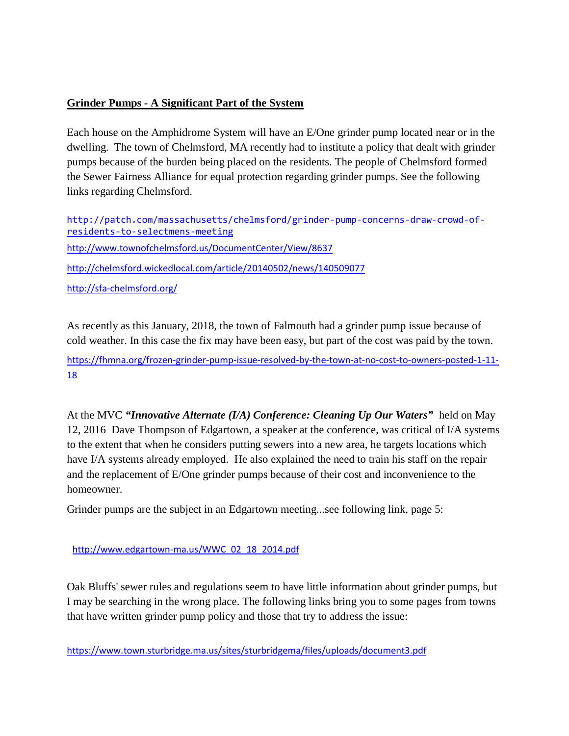# **Grinder Pumps - A Significant Part of the System**

Each house on the Amphidrome System will have an E/One grinder pump located near or in the dwelling. The town of Chelmsford, MA recently had to institute a policy that dealt with grinder pumps because of the burden being placed on the residents. The people of Chelmsford formed the Sewer Fairness Alliance for equal protection regarding grinder pumps. See the following links regarding Chelmsford.

[http://patch.com/massachusetts/chelmsford/grinder-pump-concerns-draw-crowd-of](http://patch.com/massachusetts/chelmsford/grinder-pump-concerns-draw-crowd-of-residents-to-selectmens-meeting)[residents-to-selectmens-meeting](http://patch.com/massachusetts/chelmsford/grinder-pump-concerns-draw-crowd-of-residents-to-selectmens-meeting) <http://www.townofchelmsford.us/DocumentCenter/View/8637> <http://chelmsford.wickedlocal.com/article/20140502/news/140509077> <http://sfa-chelmsford.org/>

As recently as this January, 2018, the town of Falmouth had a grinder pump issue because of cold weather. In this case the fix may have been easy, but part of the cost was paid by the town.

[https://fhmna.org/frozen-grinder-pump-issue-resolved-by-the-town-at-no-cost-to-owners-posted-1-11-](https://fhmna.org/frozen-grinder-pump-issue-resolved-by-the-town-at-no-cost-to-owners-posted-1-11-18) [18](https://fhmna.org/frozen-grinder-pump-issue-resolved-by-the-town-at-no-cost-to-owners-posted-1-11-18)

At the MVC *"Innovative Alternate (I/A) Conference: Cleaning Up Our Waters"* held on May 12, 2016 Dave Thompson of Edgartown, a speaker at the conference, was critical of I/A systems to the extent that when he considers putting sewers into a new area, he targets locations which have I/A systems already employed. He also explained the need to train his staff on the repair and the replacement of E/One grinder pumps because of their cost and inconvenience to the homeowner.

Grinder pumps are the subject in an Edgartown meeting...see following link, page 5:

[http://www.edgartown-ma.us/WWC\\_02\\_18\\_2014.pdf](http://www.edgartown-ma.us/WWC_02_18_2014.pdf)

Oak Bluffs' sewer rules and regulations seem to have little information about grinder pumps, but I may be searching in the wrong place. The following links bring you to some pages from towns that have written grinder pump policy and those that try to address the issue:

<https://www.town.sturbridge.ma.us/sites/sturbridgema/files/uploads/document3.pdf>